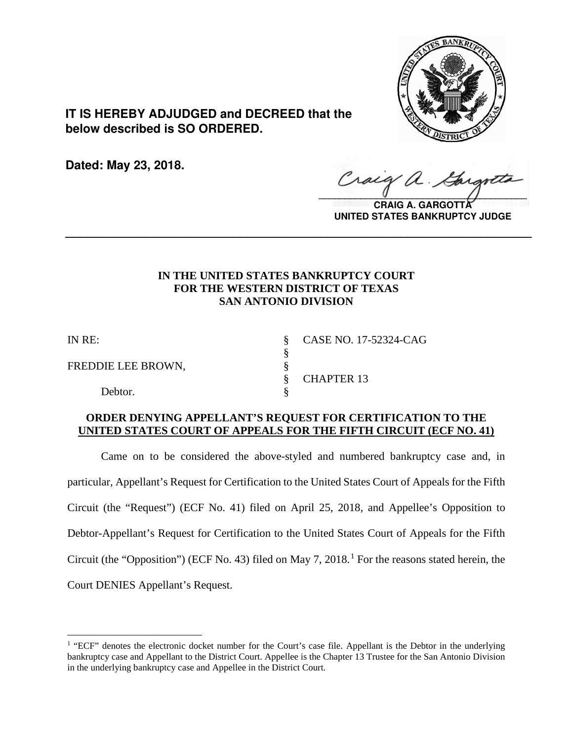

**IT IS HEREBY ADJUDGED and DECREED that the below described is SO ORDERED.**

**Dated: May 23, 2018.**

Craig  $\sqrt{2}$ 

**CRAIG A. GARGOTT UNITED STATES BANKRUPTCY JUDGE**

## **IN THE UNITED STATES BANKRUPTCY COURT FOR THE WESTERN DISTRICT OF TEXAS SAN ANTONIO DIVISION**

**\_\_\_\_\_\_\_\_\_\_\_\_\_\_\_\_\_\_\_\_\_\_\_\_\_\_\_\_\_\_\_\_\_\_\_\_\_\_\_\_\_\_\_\_\_\_\_\_\_\_\_\_\_\_\_\_\_\_\_\_\_\_\_\_**

§

FREDDIE LEE BROWN,  $§$ 

Debtor.

IN RE: § CASE NO. 17-52324-CAG § CHAPTER 13

## **ORDER DENYING APPELLANT'S REQUEST FOR CERTIFICATION TO THE UNITED STATES COURT OF APPEALS FOR THE FIFTH CIRCUIT (ECF NO. 41)**

Came on to be considered the above-styled and numbered bankruptcy case and, in particular, Appellant's Request for Certification to the United States Court of Appeals for the Fifth Circuit (the "Request") (ECF No. 41) filed on April 25, 2018, and Appellee's Opposition to Debtor-Appellant's Request for Certification to the United States Court of Appeals for the Fifth Circuit (the "Opposition") (ECF No. 43) filed on May 7, 20[1](#page-0-0)8.<sup>1</sup> For the reasons stated herein, the Court DENIES Appellant's Request.

<span id="page-0-0"></span> $\overline{a}$ <sup>1</sup> "ECF" denotes the electronic docket number for the Court's case file. Appellant is the Debtor in the underlying bankruptcy case and Appellant to the District Court. Appellee is the Chapter 13 Trustee for the San Antonio Division in the underlying bankruptcy case and Appellee in the District Court.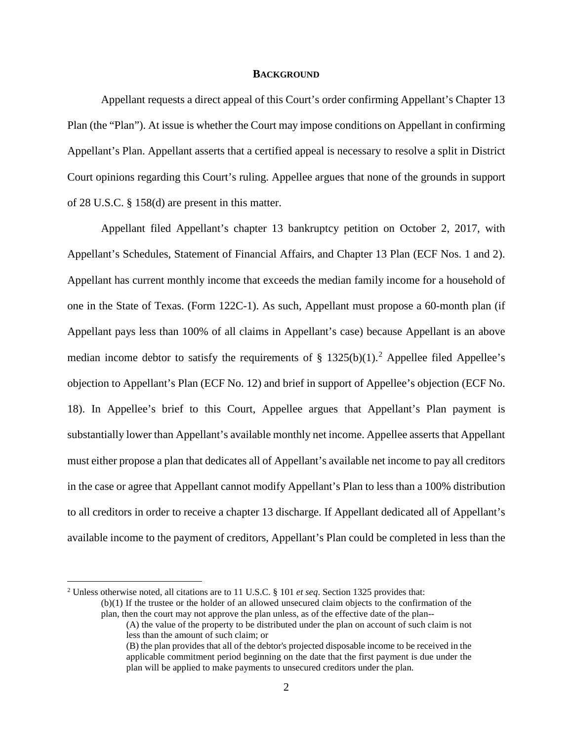#### **BACKGROUND**

Appellant requests a direct appeal of this Court's order confirming Appellant's Chapter 13 Plan (the "Plan"). At issue is whether the Court may impose conditions on Appellant in confirming Appellant's Plan. Appellant asserts that a certified appeal is necessary to resolve a split in District Court opinions regarding this Court's ruling. Appellee argues that none of the grounds in support of 28 U.S.C. § 158(d) are present in this matter.

Appellant filed Appellant's chapter 13 bankruptcy petition on October 2, 2017, with Appellant's Schedules, Statement of Financial Affairs, and Chapter 13 Plan (ECF Nos. 1 and 2). Appellant has current monthly income that exceeds the median family income for a household of one in the State of Texas. (Form 122C-1). As such, Appellant must propose a 60-month plan (if Appellant pays less than 100% of all claims in Appellant's case) because Appellant is an above median income debtor to satisfy the requirements of  $\S$  13[2](#page-1-0)5(b)(1).<sup>2</sup> Appellee filed Appellee's objection to Appellant's Plan (ECF No. 12) and brief in support of Appellee's objection (ECF No. 18). In Appellee's brief to this Court, Appellee argues that Appellant's Plan payment is substantially lower than Appellant's available monthly net income. Appellee asserts that Appellant must either propose a plan that dedicates all of Appellant's available net income to pay all creditors in the case or agree that Appellant cannot modify Appellant's Plan to less than a 100% distribution to all creditors in order to receive a chapter 13 discharge. If Appellant dedicated all of Appellant's available income to the payment of creditors, Appellant's Plan could be completed in less than the

<span id="page-1-0"></span> <sup>2</sup> Unless otherwise noted, all citations are to 11 U.S.C. § 101 *et seq*. Section 1325 provides that:

<sup>(</sup>b)(1) If the trustee or the holder of an allowed unsecured claim objects to the confirmation of the plan, then the court may not approve the plan unless, as of the effective date of the plan--

<sup>(</sup>A) the value of the property to be distributed under the plan on account of such claim is not less than the amount of such claim; or

<sup>(</sup>B) the plan provides that all of the debtor's projected disposable income to be received in the applicable commitment period beginning on the date that the first payment is due under the plan will be applied to make payments to unsecured creditors under the plan.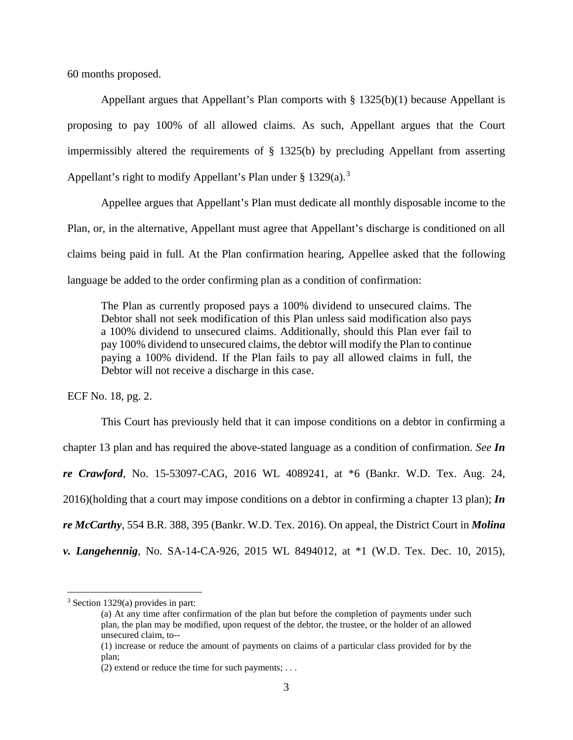60 months proposed.

Appellant argues that Appellant's Plan comports with  $\S$  1325(b)(1) because Appellant is proposing to pay 100% of all allowed claims. As such, Appellant argues that the Court impermissibly altered the requirements of § 1325(b) by precluding Appellant from asserting Appellant's right to modify Appellant's Plan under  $\S 1329(a)$  $\S 1329(a)$  $\S 1329(a)$ .<sup>3</sup>

Appellee argues that Appellant's Plan must dedicate all monthly disposable income to the Plan, or, in the alternative, Appellant must agree that Appellant's discharge is conditioned on all claims being paid in full. At the Plan confirmation hearing, Appellee asked that the following language be added to the order confirming plan as a condition of confirmation:

The Plan as currently proposed pays a 100% dividend to unsecured claims. The Debtor shall not seek modification of this Plan unless said modification also pays a 100% dividend to unsecured claims. Additionally, should this Plan ever fail to pay 100% dividend to unsecured claims, the debtor will modify the Plan to continue paying a 100% dividend. If the Plan fails to pay all allowed claims in full, the Debtor will not receive a discharge in this case.

ECF No. 18, pg. 2.

This Court has previously held that it can impose conditions on a debtor in confirming a chapter 13 plan and has required the above-stated language as a condition of confirmation. *See In re Crawford*, No. 15-53097-CAG, 2016 WL 4089241, at \*6 (Bankr. W.D. Tex. Aug. 24, 2016)(holding that a court may impose conditions on a debtor in confirming a chapter 13 plan); *In re McCarthy*, 554 B.R. 388, 395 (Bankr. W.D. Tex. 2016). On appeal, the District Court in *Molina v. Langehennig*, No. SA-14-CA-926, 2015 WL 8494012, at \*1 (W.D. Tex. Dec. 10, 2015),

<span id="page-2-0"></span> <sup>3</sup> Section 1329(a) provides in part:

<sup>(</sup>a) At any time after confirmation of the plan but before the completion of payments under such plan, the plan may be modified, upon request of the debtor, the trustee, or the holder of an allowed unsecured claim, to--

<sup>(1)</sup> increase or reduce the amount of payments on claims of a particular class provided for by the plan;

<sup>(2)</sup> extend or reduce the time for such payments; . . .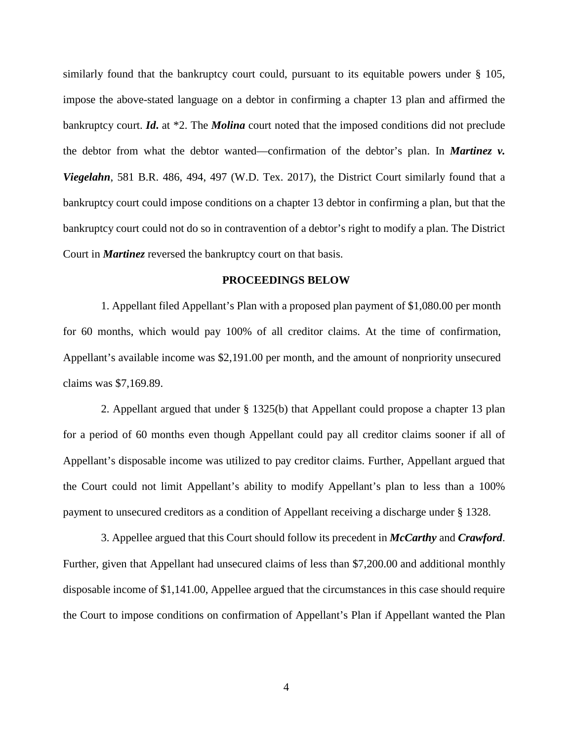similarly found that the bankruptcy court could, pursuant to its equitable powers under § 105, impose the above-stated language on a debtor in confirming a chapter 13 plan and affirmed the bankruptcy court. *Id***.** at \*2. The *Molina* court noted that the imposed conditions did not preclude the debtor from what the debtor wanted—confirmation of the debtor's plan. In *Martinez v. Viegelahn*, 581 B.R. 486, 494, 497 (W.D. Tex. 2017), the District Court similarly found that a bankruptcy court could impose conditions on a chapter 13 debtor in confirming a plan, but that the bankruptcy court could not do so in contravention of a debtor's right to modify a plan. The District Court in *Martinez* reversed the bankruptcy court on that basis.

### **PROCEEDINGS BELOW**

1. Appellant filed Appellant's Plan with a proposed plan payment of \$1,080.00 per month for 60 months, which would pay 100% of all creditor claims. At the time of confirmation, Appellant's available income was \$2,191.00 per month, and the amount of nonpriority unsecured claims was \$7,169.89.

2. Appellant argued that under § 1325(b) that Appellant could propose a chapter 13 plan for a period of 60 months even though Appellant could pay all creditor claims sooner if all of Appellant's disposable income was utilized to pay creditor claims. Further, Appellant argued that the Court could not limit Appellant's ability to modify Appellant's plan to less than a 100% payment to unsecured creditors as a condition of Appellant receiving a discharge under § 1328.

3. Appellee argued that this Court should follow its precedent in *McCarthy* and *Crawford*. Further, given that Appellant had unsecured claims of less than \$7,200.00 and additional monthly disposable income of \$1,141.00, Appellee argued that the circumstances in this case should require the Court to impose conditions on confirmation of Appellant's Plan if Appellant wanted the Plan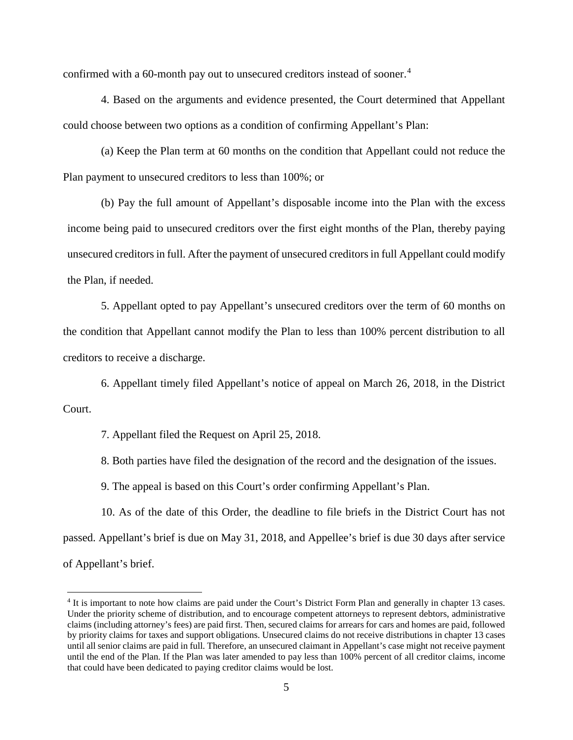confirmed with a 60-month pay out to unsecured creditors instead of sooner.<sup>[4](#page-4-0)</sup>

4. Based on the arguments and evidence presented, the Court determined that Appellant could choose between two options as a condition of confirming Appellant's Plan:

(a) Keep the Plan term at 60 months on the condition that Appellant could not reduce the Plan payment to unsecured creditors to less than 100%; or

(b) Pay the full amount of Appellant's disposable income into the Plan with the excess income being paid to unsecured creditors over the first eight months of the Plan, thereby paying unsecured creditors in full. After the payment of unsecured creditors in full Appellant could modify the Plan, if needed.

5. Appellant opted to pay Appellant's unsecured creditors over the term of 60 months on the condition that Appellant cannot modify the Plan to less than 100% percent distribution to all creditors to receive a discharge.

6. Appellant timely filed Appellant's notice of appeal on March 26, 2018, in the District Court.

7. Appellant filed the Request on April 25, 2018.

8. Both parties have filed the designation of the record and the designation of the issues.

9. The appeal is based on this Court's order confirming Appellant's Plan.

10. As of the date of this Order, the deadline to file briefs in the District Court has not passed. Appellant's brief is due on May 31, 2018, and Appellee's brief is due 30 days after service of Appellant's brief.

<span id="page-4-0"></span> <sup>4</sup> It is important to note how claims are paid under the Court's District Form Plan and generally in chapter 13 cases. Under the priority scheme of distribution, and to encourage competent attorneys to represent debtors, administrative claims (including attorney's fees) are paid first. Then, secured claims for arrears for cars and homes are paid, followed by priority claims for taxes and support obligations. Unsecured claims do not receive distributions in chapter 13 cases until all senior claims are paid in full. Therefore, an unsecured claimant in Appellant's case might not receive payment until the end of the Plan. If the Plan was later amended to pay less than 100% percent of all creditor claims, income that could have been dedicated to paying creditor claims would be lost.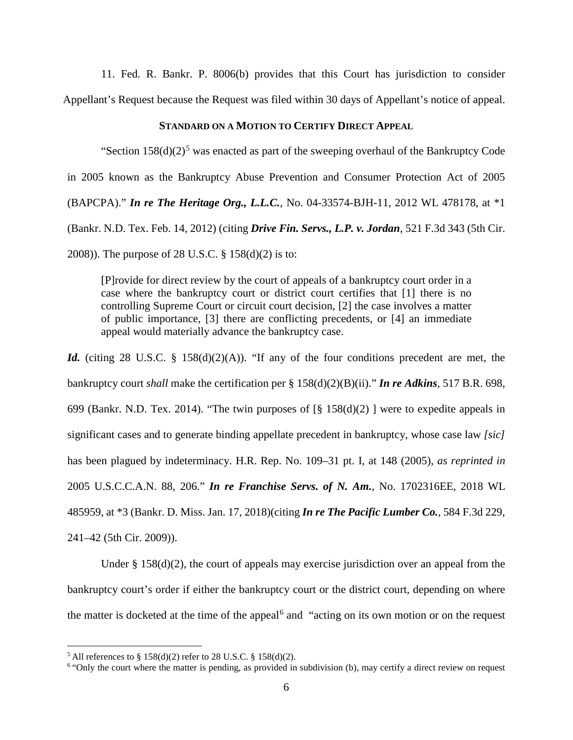11. Fed. R. Bankr. P. 8006(b) provides that this Court has jurisdiction to consider Appellant's Request because the Request was filed within 30 days of Appellant's notice of appeal.

### **STANDARD ON A MOTION TO CERTIFY DIRECT APPEAL**

"Section  $158(d)(2)^5$  $158(d)(2)^5$  $158(d)(2)^5$  was enacted as part of the sweeping overhaul of the Bankruptcy Code in 2005 known as the Bankruptcy Abuse Prevention and Consumer Protection Act of 2005 (BAPCPA)." *In re The Heritage Org., L.L.C.*, No. 04-33574-BJH-11, 2012 WL 478178, at \*1 (Bankr. N.D. Tex. Feb. 14, 2012) (citing *Drive Fin. Servs., L.P. v. Jordan*, 521 F.3d 343 (5th Cir.

2008)). The purpose of 28 U.S.C. § 158(d)(2) is to:

[P]rovide for direct review by the court of appeals of a bankruptcy court order in a case where the bankruptcy court or district court certifies that [1] there is no controlling Supreme Court or circuit court decision, [2] the case involves a matter of public importance, [3] there are conflicting precedents, or [4] an immediate appeal would materially advance the bankruptcy case.

*Id.* (citing 28 U.S.C. § 158(d)(2)(A)). "If any of the four conditions precedent are met, the bankruptcy court *shall* make the certification per [§ 158\(d\)\(2\)\(B\)\(ii\).](https://1.next.westlaw.com/Link/Document/FullText?findType=L&pubNum=1000546&cite=28USCAS158&originatingDoc=Ie831d440fde411e7a9cdefc89ba18cd7&refType=SP&originationContext=document&transitionType=DocumentItem&contextData=(sc.Search)#co_pp_d25000009dab5)" *In re Adkins,* [517 B.R. 698,](https://1.next.westlaw.com/Link/Document/FullText?findType=Y&serNum=2034315478&pubNum=0000164&originatingDoc=Ie831d440fde411e7a9cdefc89ba18cd7&refType=RP&fi=co_pp_sp_164_699&originationContext=document&transitionType=DocumentItem&contextData=(sc.Search)#co_pp_sp_164_699)  [699 \(Bankr. N.D. Tex. 2014\).](https://1.next.westlaw.com/Link/Document/FullText?findType=Y&serNum=2034315478&pubNum=0000164&originatingDoc=Ie831d440fde411e7a9cdefc89ba18cd7&refType=RP&fi=co_pp_sp_164_699&originationContext=document&transitionType=DocumentItem&contextData=(sc.Search)#co_pp_sp_164_699) "The twin purposes of  $\lceil \S 158(d)(2) \rceil$  were to expedite appeals in significant cases and to generate binding appellate precedent in bankruptcy, whose case law *[sic]* has been plagued by indeterminacy. H.R. Rep. No. 109–31 pt. I, at 148 (2005), *as reprinted in* 2005 U.S.C.C.A.N. 88, 206." *In re Franchise Servs. of N. Am.*, No. 1702316EE, 2018 WL 485959, at \*3 (Bankr. D. Miss. Jan. 17, 2018)(citing *[In re The Pacific Lumber Co.](https://1.next.westlaw.com/Link/Document/FullText?findType=Y&serNum=2019902187&pubNum=0000506&originatingDoc=Ie831d440fde411e7a9cdefc89ba18cd7&refType=RP&fi=co_pp_sp_506_241&originationContext=document&transitionType=DocumentItem&contextData=(sc.Search)#co_pp_sp_506_241),* 584 F.3d 229, [241–42 \(5th Cir. 2009\)\)](https://1.next.westlaw.com/Link/Document/FullText?findType=Y&serNum=2019902187&pubNum=0000506&originatingDoc=Ie831d440fde411e7a9cdefc89ba18cd7&refType=RP&fi=co_pp_sp_506_241&originationContext=document&transitionType=DocumentItem&contextData=(sc.Search)#co_pp_sp_506_241).

Under  $\S 158(d)(2)$ , the court of appeals may exercise jurisdiction over an appeal from the bankruptcy court's order if either the bankruptcy court or the district court, depending on where the matter is docketed at the time of the appeal<sup>[6](#page-5-1)</sup> and "acting on its own motion or on the request

<span id="page-5-0"></span> $5$  All references to § 158(d)(2) refer to 28 U.S.C. § 158(d)(2).

<span id="page-5-1"></span><sup>&</sup>lt;sup>6</sup> "Only the court where the matter is pending, as provided in subdivision (b), may certify a direct review on request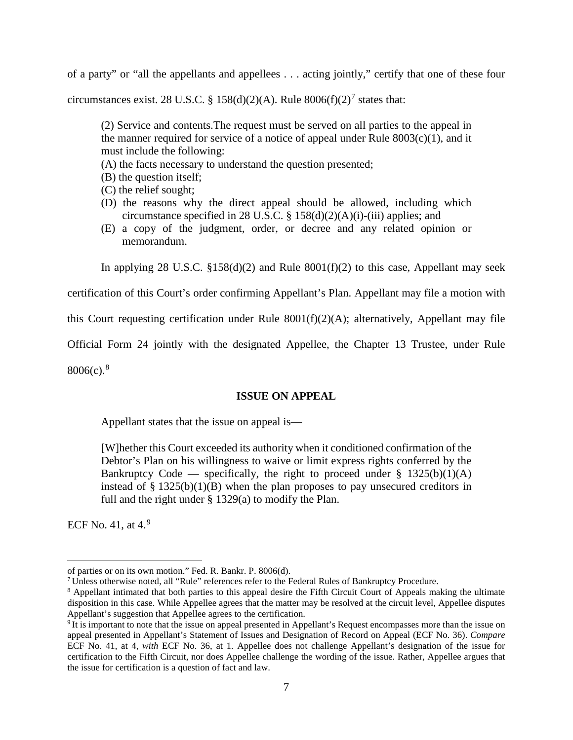of a party" or "all the appellants and appellees . . . acting jointly," certify that one of these four

circumstances exist. 28 U.S.C. § 158(d)(2)(A). Rule  $8006(f)(2)^7$  $8006(f)(2)^7$  states that:

(2) Service and contents.The request must be served on all parties to the appeal in the manner required for service of a notice of appeal under Rule  $8003(c)(1)$ , and it must include the following:

(A) the facts necessary to understand the question presented;

(B) the question itself;

- (C) the relief sought;
- (D) the reasons why the direct appeal should be allowed, including which circumstance specified in 28 U.S.C. § [158\(d\)\(2\)\(A\)\(i\)-\(iii\)](https://1.next.westlaw.com/Link/Document/FullText?findType=L&pubNum=1000546&cite=28USCAS158&originatingDoc=NCB0320D0D5DF11E3B6C0F1D77F5DBA4F&refType=RB&originationContext=document&transitionType=DocumentItem&contextData=(sc.Category)#co_pp_c4ca0000b7271) applies; and
- (E) a copy of the judgment, order, or decree and any related opinion or memorandum.

In applying 28 U.S.C.  $$158(d)(2)$  and Rule  $8001(f)(2)$  to this case, Appellant may seek

certification of this Court's order confirming Appellant's Plan. Appellant may file a motion with

this Court requesting certification under Rule 8001(f)(2)(A); alternatively, Appellant may file

Official Form 24 jointly with the designated Appellee, the Chapter 13 Trustee, under Rule

 $8006(c).$  $8006(c).$ <sup>8</sup>

### **ISSUE ON APPEAL**

Appellant states that the issue on appeal is—

[W]hether this Court exceeded its authority when it conditioned confirmation of the Debtor's Plan on his willingness to waive or limit express rights conferred by the Bankruptcy Code — specifically, the right to proceed under  $\S$  1325(b)(1)(A) instead of  $\S$  1325(b)(1)(B) when the plan proposes to pay unsecured creditors in full and the right under § 1329(a) to modify the Plan.

ECF No. 41, at  $4<sup>9</sup>$  $4<sup>9</sup>$  $4<sup>9</sup>$ 

 $\overline{a}$ 

<span id="page-6-0"></span>

of parties or on its own motion." Fed. R. Bankr. P. 8006(d). 7 Unless otherwise noted, all "Rule" references refer to the Federal Rules of Bankruptcy Procedure.

<span id="page-6-1"></span><sup>8</sup> Appellant intimated that both parties to this appeal desire the Fifth Circuit Court of Appeals making the ultimate disposition in this case. While Appellee agrees that the matter may be resolved at the circuit level, Appellee disputes Appellant's suggestion that Appellee agrees to the certification.

<span id="page-6-2"></span><sup>&</sup>lt;sup>9</sup> It is important to note that the issue on appeal presented in Appellant's Request encompasses more than the issue on appeal presented in Appellant's Statement of Issues and Designation of Record on Appeal (ECF No. 36). *Compare* ECF No. 41, at 4, *with* ECF No. 36, at 1. Appellee does not challenge Appellant's designation of the issue for certification to the Fifth Circuit, nor does Appellee challenge the wording of the issue. Rather, Appellee argues that the issue for certification is a question of fact and law.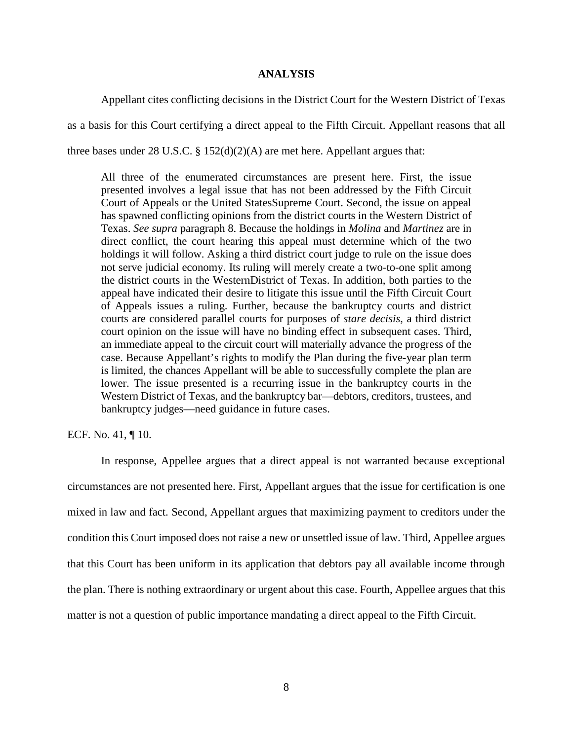#### **ANALYSIS**

Appellant cites conflicting decisions in the District Court for the Western District of Texas as a basis for this Court certifying a direct appeal to the Fifth Circuit. Appellant reasons that all three bases under 28 U.S.C. § 152(d)(2)(A) are met here. Appellant argues that:

All three of the enumerated circumstances are present here. First, the issue presented involves a legal issue that has not been addressed by the Fifth Circuit Court of Appeals or the United StatesSupreme Court. Second, the issue on appeal has spawned conflicting opinions from the district courts in the Western District of Texas. *See supra* paragraph 8. Because the holdings in *Molina* and *Martinez* are in direct conflict, the court hearing this appeal must determine which of the two holdings it will follow. Asking a third district court judge to rule on the issue does not serve judicial economy. Its ruling will merely create a two-to-one split among the district courts in the WesternDistrict of Texas. In addition, both parties to the appeal have indicated their desire to litigate this issue until the Fifth Circuit Court of Appeals issues a ruling. Further, because the bankruptcy courts and district courts are considered parallel courts for purposes of *stare decisis*, a third district court opinion on the issue will have no binding effect in subsequent cases. Third, an immediate appeal to the circuit court will materially advance the progress of the case. Because Appellant's rights to modify the Plan during the five-year plan term is limited, the chances Appellant will be able to successfully complete the plan are lower. The issue presented is a recurring issue in the bankruptcy courts in the Western District of Texas, and the bankruptcy bar—debtors, creditors, trustees, and bankruptcy judges—need guidance in future cases.

ECF. No. 41, ¶ 10.

In response, Appellee argues that a direct appeal is not warranted because exceptional circumstances are not presented here. First, Appellant argues that the issue for certification is one mixed in law and fact. Second, Appellant argues that maximizing payment to creditors under the condition this Court imposed does not raise a new or unsettled issue of law. Third, Appellee argues that this Court has been uniform in its application that debtors pay all available income through the plan. There is nothing extraordinary or urgent about this case. Fourth, Appellee argues that this matter is not a question of public importance mandating a direct appeal to the Fifth Circuit.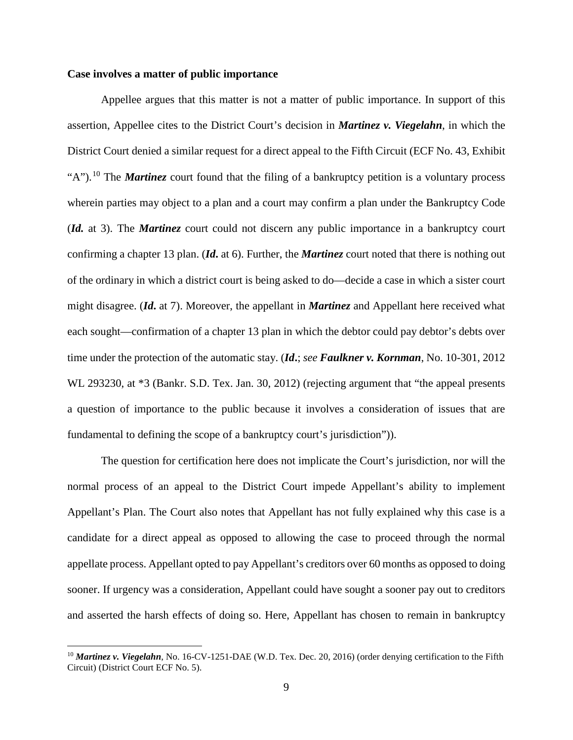### **Case involves a matter of public importance**

Appellee argues that this matter is not a matter of public importance. In support of this assertion, Appellee cites to the District Court's decision in *Martinez v. Viegelahn*, in which the District Court denied a similar request for a direct appeal to the Fifth Circuit (ECF No. 43, Exhibit "A").<sup>[10](#page-8-0)</sup> The *Martinez* court found that the filing of a bankruptcy petition is a voluntary process wherein parties may object to a plan and a court may confirm a plan under the Bankruptcy Code (*Id.* at 3). The *Martinez* court could not discern any public importance in a bankruptcy court confirming a chapter 13 plan. (*Id***.** at 6). Further, the *Martinez* court noted that there is nothing out of the ordinary in which a district court is being asked to do—decide a case in which a sister court might disagree. (*Id***.** at 7). Moreover, the appellant in *Martinez* and Appellant here received what each sought—confirmation of a chapter 13 plan in which the debtor could pay debtor's debts over time under the protection of the automatic stay. (*Id***.**; *see Faulkner v. Kornman*, No. 10-301, 2012 WL 293230, at \*3 (Bankr. S.D. Tex. Jan. 30, 2012) (rejecting argument that "the appeal presents a question of importance to the public because it involves a consideration of issues that are fundamental to defining the scope of a bankruptcy court's jurisdiction")).

The question for certification here does not implicate the Court's jurisdiction, nor will the normal process of an appeal to the District Court impede Appellant's ability to implement Appellant's Plan. The Court also notes that Appellant has not fully explained why this case is a candidate for a direct appeal as opposed to allowing the case to proceed through the normal appellate process. Appellant opted to pay Appellant's creditors over 60 months as opposed to doing sooner. If urgency was a consideration, Appellant could have sought a sooner pay out to creditors and asserted the harsh effects of doing so. Here, Appellant has chosen to remain in bankruptcy

<span id="page-8-0"></span> <sup>10</sup> *Martinez v. Viegelahn*, No. 16-CV-1251-DAE (W.D. Tex. Dec. 20, 2016) (order denying certification to the Fifth Circuit) (District Court ECF No. 5).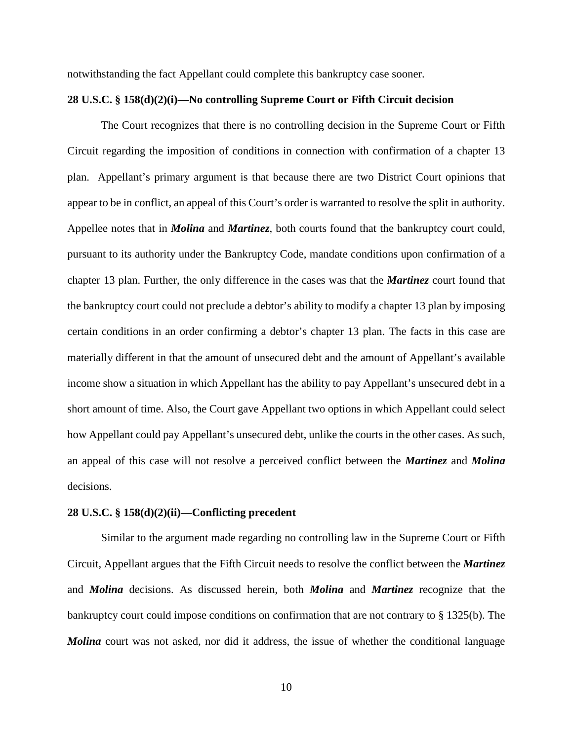notwithstanding the fact Appellant could complete this bankruptcy case sooner.

### **28 U.S.C. § 158(d)(2)(i)—No controlling Supreme Court or Fifth Circuit decision**

The Court recognizes that there is no controlling decision in the Supreme Court or Fifth Circuit regarding the imposition of conditions in connection with confirmation of a chapter 13 plan. Appellant's primary argument is that because there are two District Court opinions that appear to be in conflict, an appeal of this Court's order is warranted to resolve the split in authority. Appellee notes that in *Molina* and *Martinez*, both courts found that the bankruptcy court could, pursuant to its authority under the Bankruptcy Code, mandate conditions upon confirmation of a chapter 13 plan. Further, the only difference in the cases was that the *Martinez* court found that the bankruptcy court could not preclude a debtor's ability to modify a chapter 13 plan by imposing certain conditions in an order confirming a debtor's chapter 13 plan. The facts in this case are materially different in that the amount of unsecured debt and the amount of Appellant's available income show a situation in which Appellant has the ability to pay Appellant's unsecured debt in a short amount of time. Also, the Court gave Appellant two options in which Appellant could select how Appellant could pay Appellant's unsecured debt, unlike the courts in the other cases. As such, an appeal of this case will not resolve a perceived conflict between the *Martinez* and *Molina* decisions.

#### **28 U.S.C. § 158(d)(2)(ii)—Conflicting precedent**

Similar to the argument made regarding no controlling law in the Supreme Court or Fifth Circuit, Appellant argues that the Fifth Circuit needs to resolve the conflict between the *Martinez* and *Molina* decisions. As discussed herein, both *Molina* and *Martinez* recognize that the bankruptcy court could impose conditions on confirmation that are not contrary to § 1325(b). The *Molina* court was not asked, nor did it address, the issue of whether the conditional language